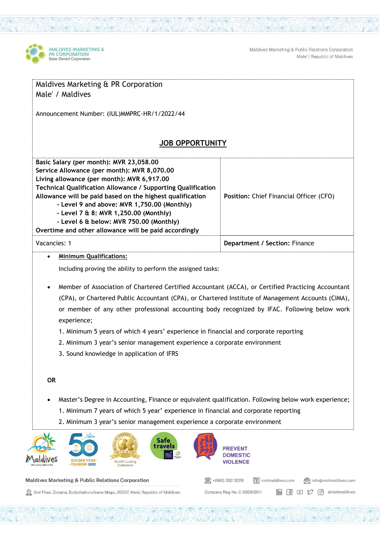

Maldives Marketing & Public Relations Corporation Male' | Republic of Maldives

| Maldives Marketing & PR Corporation<br>Male' / Maldives                                                                                                                                                                                                                                                                                                                                                                                                       |                                         |
|---------------------------------------------------------------------------------------------------------------------------------------------------------------------------------------------------------------------------------------------------------------------------------------------------------------------------------------------------------------------------------------------------------------------------------------------------------------|-----------------------------------------|
| Announcement Number: (IUL)MMPRC-HR/1/2022/44                                                                                                                                                                                                                                                                                                                                                                                                                  |                                         |
| <b>JOB OPPORTUNITY</b>                                                                                                                                                                                                                                                                                                                                                                                                                                        |                                         |
| Basic Salary (per month): MVR 23,058.00<br>Service Allowance (per month): MVR 8,070.00<br>Living allowance (per month): MVR 6,917.00<br>Technical Qualification Allowance / Supporting Qualification<br>Allowance will be paid based on the highest qualification<br>- Level 9 and above: MVR 1,750.00 (Monthly)<br>- Level 7 & 8: MVR 1,250.00 (Monthly)<br>- Level 6 & below: MVR 750.00 (Monthly)<br>Overtime and other allowance will be paid accordingly | Position: Chief Financial Officer (CFO) |
| Vacancies: 1                                                                                                                                                                                                                                                                                                                                                                                                                                                  | Department / Section: Finance           |
| <b>Minimum Qualifications:</b><br>$\bullet$<br>Including proving the ability to perform the assigned tasks:<br>Member of Association of Chartered Certified Accountant (ACCA), or Certified Practicing Accountant<br>$\bullet$<br>(CPA), or Chartered Public Accountant (CPA), or Chartered Institute of Management Accounts (CIMA),<br>or member of any other professional accounting body recognized by IFAC. Following below work                          |                                         |
| experience;<br>1. Minimum 5 years of which 4 years' experience in financial and corporate reporting<br>2. Minimum 3 year's senior management experience a corporate environment<br>3. Sound knowledge in application of IFRS                                                                                                                                                                                                                                  |                                         |
| <b>OR</b>                                                                                                                                                                                                                                                                                                                                                                                                                                                     |                                         |
| Master's Degree in Accounting, Finance or equivalent qualification. Following below work experience;<br>1. Minimum 7 years of which 5 year' experience in financial and corporate reporting<br>2. Minimum 3 year's senior management experience a corporate environment                                                                                                                                                                                       |                                         |
| Safe<br>travels<br><b>World's Leading</b><br><b>MURISM 2022</b><br>Destination                                                                                                                                                                                                                                                                                                                                                                                | <b>VIOLENCE</b>                         |

图 +(960) 332 3228

Company Reg No. C-0509/2011

 $\boxed{1}$  visitmaldives.com

@ info@visitmaldives.com

in (1 D M d evisitmaldives

## **Maldives Marketing & Public Relations Corporation**

2nd Floor, Zonaria, Boduthakurufaanu Magu, 20057, Male', Republic of Maldives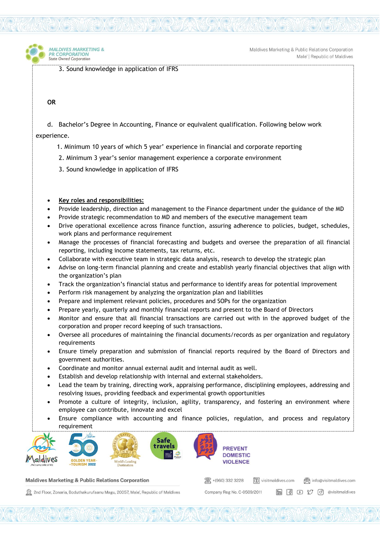

3. Sound knowledge in application of IFRS

## **OR**

MAI DIVES MARKETING &

**R CORPORATION** 

**State Owned Corporation** 

d. Bachelor's Degree in Accounting, Finance or equivalent qualification. Following below work

experience.

- 1. Minimum 10 years of which 5 year' experience in financial and corporate reporting
- 2. Minimum 3 year's senior management experience a corporate environment
- 3. Sound knowledge in application of IFRS

## • **Key roles and responsibilities:**

- Provide leadership, direction and management to the Finance department under the guidance of the MD
- Provide strategic recommendation to MD and members of the executive management team
- Drive operational excellence across finance function, assuring adherence to policies, budget, schedules, work plans and performance requirement
- Manage the processes of financial forecasting and budgets and oversee the preparation of all financial reporting, including income statements, tax returns, etc.
- Collaborate with executive team in strategic data analysis, research to develop the strategic plan
- Advise on long-term financial planning and create and establish yearly financial objectives that align with the organization's plan
- Track the organization's financial status and performance to identify areas for potential improvement
- Perform risk management by analyzing the organization plan and liabilities
- Prepare and implement relevant policies, procedures and SOPs for the organization
- Prepare yearly, quarterly and monthly financial reports and present to the Board of Directors
- Monitor and ensure that all financial transactions are carried out with in the approved budget of the corporation and proper record keeping of such transactions.
- Oversee all procedures of maintaining the financial documents/records as per organization and regulatory requirements
- Ensure timely preparation and submission of financial reports required by the Board of Directors and government authorities.
- Coordinate and monitor annual external audit and internal audit as well.
- Establish and develop relationship with internal and external stakeholders.
- Lead the team by training, directing work, appraising performance, disciplining employees, addressing and resolving issues, providing feedback and experimental growth opportunities
- Promote a culture of integrity, inclusion, agility, transparency, and fostering an environment where employee can contribute, innovate and excel
- Ensure compliance with accounting and finance policies, regulation, and process and regulatory requirement



## Maldives Marketing & Public Relations Corporation

2nd Floor, Zonaria, Boduthakurufaanu Magu, 20057, Male', Republic of Maldives

图 +(960) 332 3228 visitmaldives.com @ info@visitmaldives.com **m** 图 D 【 *©* 】 @visitmaldives Company Reg No. C-0509/2011